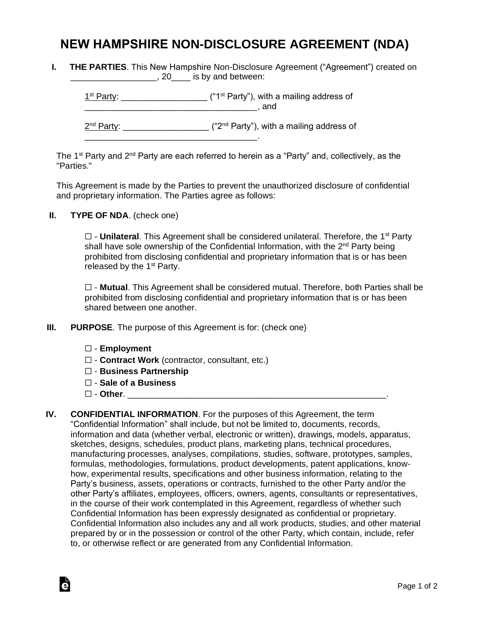## **NEW HAMPSHIRE NON-DISCLOSURE AGREEMENT (NDA)**

**I. THE PARTIES**. This New Hampshire Non-Disclosure Agreement ("Agreement") created on **EXECUTE:** 120 Section 20 And between:

 $1<sup>st</sup> Party: _______$  $\blacksquare$  and 2<sup>nd</sup> Party: \_\_\_\_\_\_\_\_\_\_\_\_\_\_\_\_\_\_\_\_ ("2<sup>nd</sup> Party"), with a mailing address of \_\_\_\_\_\_\_\_\_\_\_\_\_\_\_\_\_\_\_\_\_\_\_\_\_\_\_\_\_\_\_\_\_\_\_\_.

The 1<sup>st</sup> Party and 2<sup>nd</sup> Party are each referred to herein as a "Party" and, collectively, as the "Parties."

This Agreement is made by the Parties to prevent the unauthorized disclosure of confidential and proprietary information. The Parties agree as follows:

**II. TYPE OF NDA**. (check one)

□ - **Unilateral**. This Agreement shall be considered unilateral. Therefore, the 1<sup>st</sup> Party shall have sole ownership of the Confidential Information, with the 2<sup>nd</sup> Party being prohibited from disclosing confidential and proprietary information that is or has been released by the  $1<sup>st</sup>$  Party.

☐ - **Mutual**. This Agreement shall be considered mutual. Therefore, both Parties shall be prohibited from disclosing confidential and proprietary information that is or has been shared between one another.

- **III. PURPOSE**. The purpose of this Agreement is for: (check one)
	- ☐ **Employment**
	- ☐ **Contract Work** (contractor, consultant, etc.)
	- ☐ **Business Partnership**
	- ☐ **Sale of a Business**
	- ☐ **Other**. \_\_\_\_\_\_\_\_\_\_\_\_\_\_\_\_\_\_\_\_\_\_\_\_\_\_\_\_\_\_\_\_\_\_\_\_\_\_\_\_\_\_\_\_\_\_\_\_\_\_\_\_\_\_.

Ġ

**IV. CONFIDENTIAL INFORMATION**. For the purposes of this Agreement, the term "Confidential Information" shall include, but not be limited to, documents, records, information and data (whether verbal, electronic or written), drawings, models, apparatus, sketches, designs, schedules, product plans, marketing plans, technical procedures, manufacturing processes, analyses, compilations, studies, software, prototypes, samples, formulas, methodologies, formulations, product developments, patent applications, knowhow, experimental results, specifications and other business information, relating to the Party's business, assets, operations or contracts, furnished to the other Party and/or the other Party's affiliates, employees, officers, owners, agents, consultants or representatives, in the course of their work contemplated in this Agreement, regardless of whether such Confidential Information has been expressly designated as confidential or proprietary. Confidential Information also includes any and all work products, studies, and other material prepared by or in the possession or control of the other Party, which contain, include, refer to, or otherwise reflect or are generated from any Confidential Information.